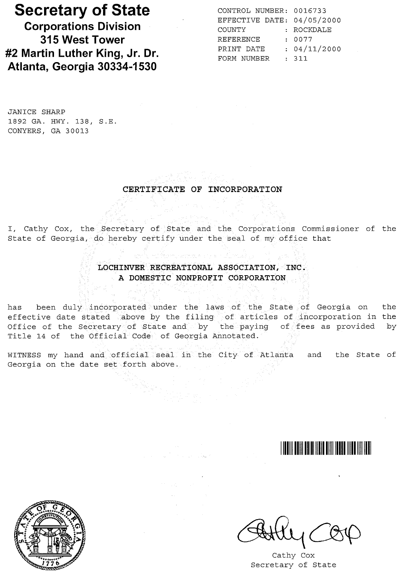# **Secretary of State**

**Corporations Division 315 West Tower #2 Martin Luther King, Jr. Dr. Atlanta, Georgia 30334-1530**

CONTROL NUMBER: 0016733 EFFECTIVE DATE: 04/05/2000 COUNTY REFERENCE PRINT DATE 04/11/2000 FORM NUMBER : 311 ROCKDALE 0077

JANICE SHARP 1892 GA. HWY. 138, S.E. CONYERS, GA 30013

#### CERTIFICATE OF INCORPORATION

I, Cathy Cox, the Secretary of. State and the. Corporations Commissioner of the State of Georgia, do hereby certify under the seal of my office that

### LOCHINVER RECREATIONAL ASSOCIATION, INC. A **DOMESTIC** NONPROFIT CORPORATION

has been duly incorporated under the laws of the State of Georgia on the effective date stated above by the filing of articles of incorporation in the Office of the Secretary of State and by the paying of fees as provided by Title 14 of the Official Code of Georgia Annotated.

WITNESS my hand and official seal in the City of Atlanta and the State of Georgia on the date set forth above.



Cathy Cox Secretary of State

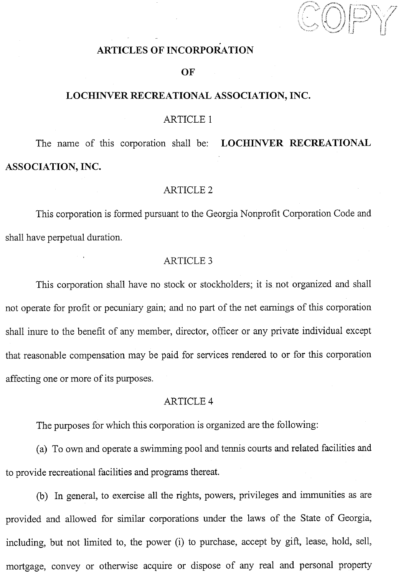$C$ OE

## **ARTICLES OF INCORPORATION**

#### **OF**

## **LOCHINVER RECREATIONAL ASSOCIATION, INC.**

#### ARTICLE 1

The name of this corporation shall be: **LOCHINVER RECREATIONAL ASSOCIATION,INC.**

#### **ARTICLE 2**

This corporation is formed pursuant to the Georgia Nonprofit Corporation Code and shall have perpetual duration.

#### **ARTICLE 3**

This corporation shall have no stock or stockholders; it is. not organized and shall not operate for profit or pecuniary gain; and no part of the net earnings of this corporation shall inure to the benefit of any member, director, officer or any private individual except that reasonable compensation may be paid for services rendered to or for this corporation affecting one or more of its purposes.

#### **ARTICLE 4**

The purposes for which this corporation is organized are the following:

(a) To own and operate a swimming pool and tennis courts and related facilities and to provide recreational facilities and programs thereat.

(b) In general, to exercise all the rights, powers, privileges and immunities as are provided and allowed for similar corporations under the laws of the State of Georgia, including, but not limited to, the power (i) to purchase, accept by gift, lease, hold, sell, mortgage, convey or otherwise acquire or dispose of any real and personal property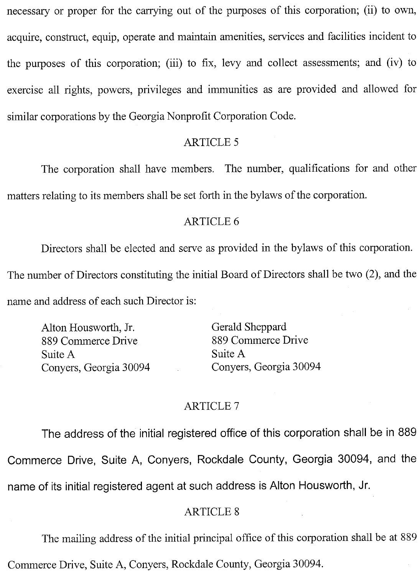necessary or proper for the carrying out of the purposes of this corporation; (ii) to own, acquire, construct, equip, operate and maintain amenities, services and facilities incident to the purposes of this corporation; (iii) to fix, levy and collect assessments; and (iv) to exercise all rights, powers, privileges and immunities as are provided and allowed for similar corporations by the Georgia Nonprofit Corporation Code.

## **ARTICLE 5**

The corporation shall have members. The number, qualifications for and other matters relating to its members shall be set forth in the bylaws of the corporation.

## **ARTICLE 6**

Directors shall be elected and serve as provided in the bylaws of this corporation. The number of Directors constituting the initial Board of Directors shall be two (2), and the name and address of each such Director is:

Alton Housworth, Jr. 889 Commerce Drive Suite A Conyers, Georgia 30094 Gerald Sheppard 889 Commerce Drive Suite A Convers, Georgia 30094

#### **ARTICLE 7**

The address of the initial registered office of this corporation shall be in 889 Commerce Drive, Suite A, Conyers, Rockdale County, Georgia 30094, and the name of its initial registered agent at such address is Alton Housworth, Jr.

## **ARTICLE 8**

The mailing address of the initial principal office of this corporation shall be at 889

Commerce Drive, Suite A, Conyers, Rockdale County, Georgia 30094.